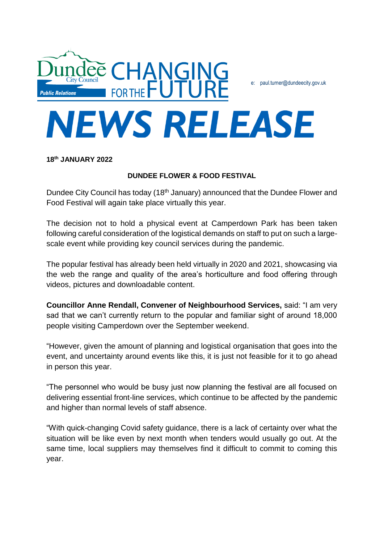

## **18 th JANUARY 2022**

## **DUNDEE FLOWER & FOOD FESTIVAL**

Dundee City Council has today (18<sup>th</sup> January) announced that the Dundee Flower and Food Festival will again take place virtually this year.

The decision not to hold a physical event at Camperdown Park has been taken following careful consideration of the logistical demands on staff to put on such a largescale event while providing key council services during the pandemic.

The popular festival has already been held virtually in 2020 and 2021, showcasing via the web the range and quality of the area's horticulture and food offering through videos, pictures and downloadable content.

**Councillor Anne Rendall, Convener of Neighbourhood Services,** said: "I am very sad that we can't currently return to the popular and familiar sight of around 18,000 people visiting Camperdown over the September weekend.

"However, given the amount of planning and logistical organisation that goes into the event, and uncertainty around events like this, it is just not feasible for it to go ahead in person this year.

"The personnel who would be busy just now planning the festival are all focused on delivering essential front-line services, which continue to be affected by the pandemic and higher than normal levels of staff absence.

"With quick-changing Covid safety guidance, there is a lack of certainty over what the situation will be like even by next month when tenders would usually go out. At the same time, local suppliers may themselves find it difficult to commit to coming this year.